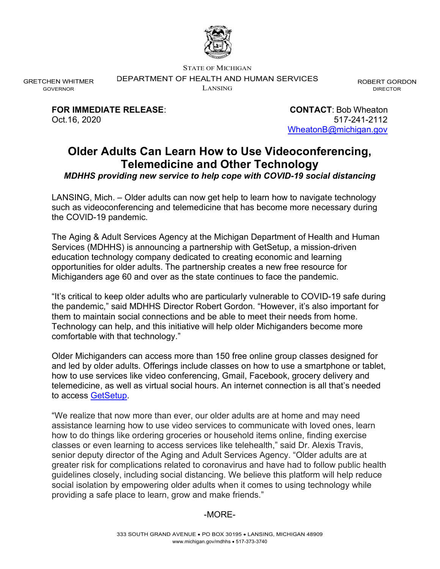

STATE OF MICHIGAN

DEPARTMENT OF HEALTH AND HUMAN SERVICES

LANSING

ROBERT GORDON DIRECTOR

FOR IMMEDIATE RELEASE: CONTACT: Bob Wheaton Oct.16, 2020 517-241-2112

GRETCHEN WHITMER GOVERNOR

WheatonB@michigan.gov

## Older Adults Can Learn How to Use Videoconferencing, Telemedicine and Other Technology

MDHHS providing new service to help cope with COVID-19 social distancing

LANSING, Mich. – Older adults can now get help to learn how to navigate technology such as videoconferencing and telemedicine that has become more necessary during the COVID-19 pandemic.

The Aging & Adult Services Agency at the Michigan Department of Health and Human Services (MDHHS) is announcing a partnership with GetSetup, a mission-driven education technology company dedicated to creating economic and learning opportunities for older adults. The partnership creates a new free resource for Michiganders age 60 and over as the state continues to face the pandemic.

"It's critical to keep older adults who are particularly vulnerable to COVID-19 safe during the pandemic," said MDHHS Director Robert Gordon. "However, it's also important for them to maintain social connections and be able to meet their needs from home. Technology can help, and this initiative will help older Michiganders become more comfortable with that technology."

Older Michiganders can access more than 150 free online group classes designed for and led by older adults. Offerings include classes on how to use a smartphone or tablet, how to use services like video conferencing, Gmail, Facebook, grocery delivery and telemedicine, as well as virtual social hours. An internet connection is all that's needed to access GetSetup.

"We realize that now more than ever, our older adults are at home and may need assistance learning how to use video services to communicate with loved ones, learn how to do things like ordering groceries or household items online, finding exercise classes or even learning to access services like telehealth," said Dr. Alexis Travis, senior deputy director of the Aging and Adult Services Agency. "Older adults are at greater risk for complications related to coronavirus and have had to follow public health guidelines closely, including social distancing. We believe this platform will help reduce social isolation by empowering older adults when it comes to using technology while providing a safe place to learn, grow and make friends."

## -MORE-